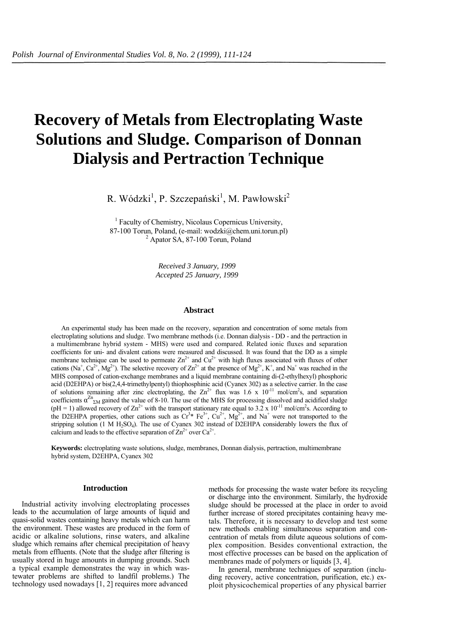# **Recovery of Metals from Electroplating Waste Solutions and Sludge. Comparison of Donnan Dialysis and Pertraction Technique**

R. Wódzki<sup>1</sup>, P. Szczepański<sup>1</sup>, M. Pawłowski<sup>2</sup>

<sup>1</sup> Faculty of Chemistry, Nicolaus Copernicus University, 87-100 Torun, Poland, (e-mail: wodzki@chem.uni.torun.pl) 2 <sup>2</sup> Apator SA, 87-100 Torun, Poland

> *Received 3 January, 1999 Accepted 25 January, 1999*

## **Abstract**

An experimental study has been made on the recovery, separation and concentration of some metals from electroplating solutions and sludge. Two membrane methods (i.e. Donnan dialysis - DD - and the pertraction in a multimembrane hybrid system - MHS) were used and compared. Related ionic fluxes and separation coefficients for uni- and divalent cations were measured and discussed. It was found that the DD as a simple membrane technique can be used to permeate  $Zn^{2+}$  and  $Cu^{2+}$  with high fluxes associated with fluxes of other cations (Na<sup>+</sup>, Ca<sup>2+</sup>, Mg<sup>2+</sup>). The selective recovery of  $\text{Zn}^{2+}$  at the presence of Mg<sup>2+</sup>, K<sup>+</sup>, and Na<sup>+</sup> was reached in the MHS composed of cation-exchange membranes and a liquid membrane containing di-(2-ethylhexyl) phosphoric acid (D2EHPA) or bis(2,4,4-trimethylpentyl) thiophosphinic acid (Cyanex 302) as a selective carrier. In the case of solutions remaining after zinc electroplating, the  $Zn^{2+}$  flux was 1.6 x 10<sup>-11</sup> mol/cm<sup>2</sup>s, and separation coefficients  $\alpha^{Zn}$ <sub>ΣM</sub> gained the value of 8-10. The use of the MHS for processing dissolved and acidified sludge (pH = 1) allowed recovery of  $\text{Zn}^{2+}$  with the transport stationary rate equal to 3.2 x 10<sup>-11</sup> mol/cm<sup>2</sup>s. According to the D2EHPA properties, other cations such as  $Cr^{3*} Fe^{3+}$ ,  $Cu^{2+}$ ,  $Mg^{2+}$ , and Na<sup>+</sup> were not transported to the stripping solution  $(1 \text{ M H}_2\text{SO}_4)$ . The use of Cyanex 302 instead of D2EHPA considerably lowers the flux of calcium and leads to the effective separation of  $Zn^{2+}$  over  $Ca^{2+}$ .

**Keywords:** electroplating waste solutions, sludge, membranes, Donnan dialysis, pertraction, multimembrane hybrid system, D2EHPA, Cyanex 302

## **Introduction**

Industrial activity involving electroplating processes leads to the accumulation of large amounts of liquid and quasi-solid wastes containing heavy metals which can harm the environment. These wastes are produced in the form of acidic or alkaline solutions, rinse waters, and alkaline sludge which remains after chemical precipitation of heavy metals from effluents. (Note that the sludge after filtering is usually stored in huge amounts in dumping grounds. Such a typical example demonstrates the way in which wastewater problems are shifted to landfil problems.) The technology used nowadays [1, 2] requires more advanced

methods for processing the waste water before its recycling or discharge into the environment. Similarly, the hydroxide sludge should be processed at the place in order to avoid further increase of stored precipitates containing heavy metals. Therefore, it is necessary to develop and test some new methods enabling simultaneous separation and concentration of metals from dilute aqueous solutions of complex composition. Besides conventional extraction, the most effective processes can be based on the application of membranes made of polymers or liquids [3, 4].

In general, membrane techniques of separation (including recovery, active concentration, purification, etc.) exploit physicochemical properties of any physical barrier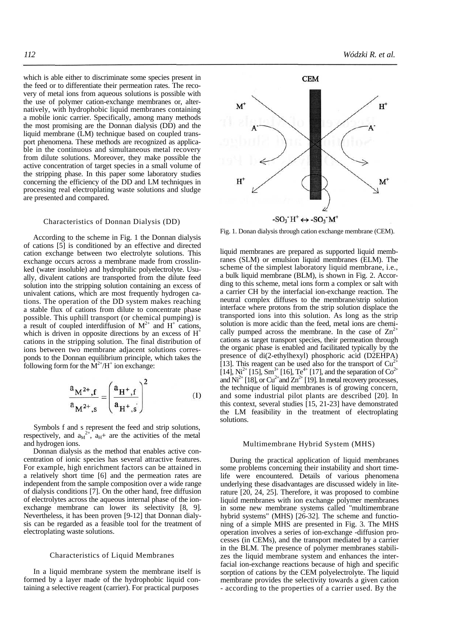which is able either to discriminate some species present in the feed or to differentiate their permeation rates. The recovery of metal ions from aqueous solutions is possible with the use of polymer cation-exchange membranes or, alternatively, with hydrophobic liquid membranes containing a mobile ionic carrier. Specifically, among many methods the most promising are the Donnan dialysis (DD) and the liquid membrane (LM) technique based on coupled transport phenomena. These methods are recognized as applicable in the continuous and simultaneous metal recovery from dilute solutions. Moreover, they make possible the active concentration of target species in a small volume of the stripping phase. In this paper some laboratory studies concerning the efficiency of the DD and LM techniques in processing real electroplating waste solutions and sludge are presented and compared.

## Characteristics of Donnan Dialysis (DD)

According to the scheme in Fig. 1 the Donnan dialysis of cations [5] is conditioned by an effective and directed cation exchange between two electrolyte solutions. This exchange occurs across a membrane made from crosslinked (water insoluble) and hydrophilic polyelectrolyte. Usually, divalent cations are transported from the dilute feed solution into the stripping solution containing an excess of univalent cations, which are most frequently hydrogen cations. The operation of the DD system makes reaching a stable flux of cations from dilute to concentrate phase possible. This uphill transport (or chemical pumping) is a result of coupled interdiffusion of  $M^{2+}$  and  $H^+$  cations, which is driven in opposite directions by an excess of  $H^+$ cations in the stripping solution. The final distribution of ions between two membrane adjacent solutions corresponds to the Donnan equilibrium principle, which takes the following form for the  $\dot{M}^{2+}/H^+$  ion exchange:

$$
\frac{a_{M^{2+},f}}{a_{M^{2+},s}} = \left(\frac{a_{H^+,f}}{a_{H^+,s}}\right)^2 \tag{1}
$$

Symbols f and s represent the feed and strip solutions, respectively, and  $a_M^{2+}$ ,  $a_H+$  are the activities of the metal and hydrogen ions.

Donnan dialysis as the method that enables active concentration of ionic species has several attractive features. For example, high enrichment factors can be attained in a relatively short time [6] and the permeation rates are independent from the sample composition over a wide range of dialysis conditions [7]. On the other hand, free diffusion of electrolytes across the aqueous internal phase of the ionexchange membrane can lower its selectivity [8, 9]. Nevertheless, it has been proven [9-12] that Donnan dialysis can be regarded as a feasible tool for the treatment of electroplating waste solutions.

## Characteristics of Liquid Membranes

In a liquid membrane system the membrane itself is formed by a layer made of the hydrophobic liquid containing a selective reagent (carrier). For practical purposes



Fig. 1. Donan dialysis through cation exchange membrane (CEM).

liquid membranes are prepared as supported liquid membranes (SLM) or emulsion liquid membranes (ELM). The scheme of the simplest laboratory liquid membrane, i.e., a bulk liquid membrane (BLM), is shown in Fig. 2. According to this scheme, metal ions form a complex or salt with a carrier CH by the interfacial ion-exchange reaction. The neutral complex diffuses to the membrane/strip solution interface where protons from the strip solution displace the transported ions into this solution. As long as the strip solution is more acidic than the feed, metal ions are chemically pumped across the membrane. In the case of  $\text{Zn}^{2+}$ cations as target transport species, their permeation through the organic phase is enabled and facilitated typically by the presence of di(2-ethylhexyl) phosphoric acid (D2EHPA) [13]. This reagent can be used also for the transport of  $Cu^{2+}$ [14], Ni<sup>2+</sup> [15], Sm<sup>3+</sup> [16], Te<sup>4+</sup> [17], and the separation of Co<sup>2+</sup> and  $\text{Ni}^{2+}$  [18], or  $\text{Cu}^{2+}$  and  $\text{Zn}^{2+}$  [19]. In metal recovery processes, the technique of liquid membranes is of growing concern, and some industrial pilot plants are described [20]. In this context, several studies [15, 21-23] have demonstrated the LM feasibility in the treatment of electroplating solutions.

# Multimembrane Hybrid System (MHS)

During the practical application of liquid membranes some problems concerning their instability and short timelife were encountered. Details of various phenomena underlying these disadvantages are discussed widely in literature [20, 24, 25]. Therefore, it was proposed to combine liquid membranes with ion exchange polymer membranes in some new membrane systems called "multimembrane hybrid systems" (MHS) [26-32]. The scheme and functioning of a simple MHS are presented in Fig. 3. The MHS operation involves a series of ion-exchange -diffusion processes (in CEMs), and the transport mediated by a carrier in the BLM. The presence of polymer membranes stabilizes the liquid membrane system and enhances the interfacial ion-exchange reactions because of high and specific sorption of cations by the CEM polyelectrolyte. The liquid membrane provides the selectivity towards a given cation - according to the properties of a carrier used. By the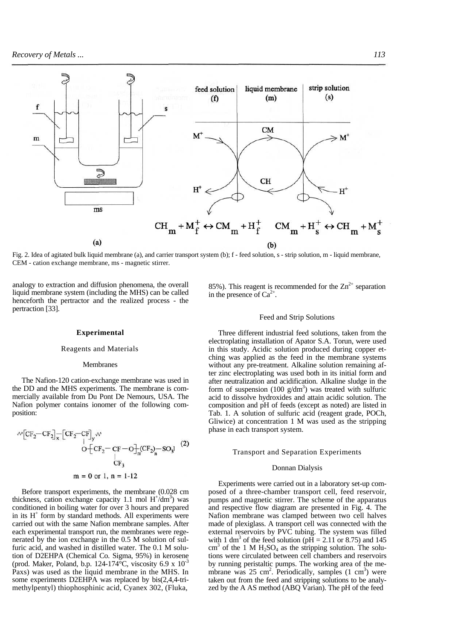

Fig. 2. Idea of agitated bulk liquid membrane (a), and carrier transport system (b); f - feed solution, s - strip solution, m - liquid membrane, CEM - cation exchange membrane, ms - magnetic stirrer.

analogy to extraction and diffusion phenomena, the overall liquid membrane system (including the MHS) can be called henceforth the pertractor and the realized process - the pertraction [33].

#### **Experimental**

### Reagents and Materials

#### Membranes

The Nafion-120 cation-exchange membrane was used in the DD and the MHS experiments. The membrane is commercially available from Du Pont De Nemours, USA. The Nafion polymer contains ionomer of the following composition:

Before transport experiments, the membrane (0.028 cm thickness, cation exchange capacity 1.1 mol  $H^{\dagger}/dm^3$ ) was conditioned in boiling water for over 3 hours and prepared in its  $H^+$  form by standard methods. All experiments were carried out with the same Nafion membrane samples. After each experimental transport run, the membranes were regenerated by the ion exchange in the 0.5 M solution of sulfuric acid, and washed in distilled water. The 0.1 M solution of D2EHPA (Chemical Co. Sigma, 95%) in kerosene (prod. Maker, Poland, b.p. 124-174 $\rm ^{\circ}C$ , viscosity 6.9 x 10<sup>-3</sup> Paxs) was used as the liquid membrane in the MHS. In some experiments D2EHPA was replaced by bis(2,4,4-trimethylpentyl) thiophosphinic acid, Cyanex 302, (Fluka,

85%). This reagent is recommended for the  $\text{Zn}^{2+}$  separation in the presence of  $Ca^{2+}$ .

#### Feed and Strip Solutions

Three different industrial feed solutions, taken from the electroplating installation of Apator S.A. Torun, were used in this study. Acidic solution produced during copper etching was applied as the feed in the membrane systems without any pre-treatment. Alkaline solution remaining after zinc electroplating was used both in its initial form and after neutralization and acidification. Alkaline sludge in the form of suspension (100  $g/dm<sup>3</sup>$ ) was treated with sulfuric acid to dissolve hydroxides and attain acidic solution. The composition and pH of feeds (except as noted) are listed in Tab. 1. A solution of sulfuric acid (reagent grade, POCh, Gliwice) at concentration 1 M was used as the stripping phase in each transport system.

## Transport and Separation Experiments

#### Donnan Dialysis

Experiments were carried out in a laboratory set-up composed of a three-chamber transport cell, feed reservoir, pumps and magnetic stirrer. The scheme of the apparatus and respective flow diagram are presented in Fig. 4. The Nafion membrane was clamped between two cell halves made of plexiglass. A transport cell was connected with the external reservoirs by PVC tubing. The system was filled with 1 dm<sup>3</sup> of the feed solution ( $p\overline{H} = 2.11$  or 8.75) and 145  $\text{cm}^3$  of the 1 M H<sub>2</sub>SO<sub>4</sub> as the stripping solution. The solutions were circulated between cell chambers and reservoirs by running peristaltic pumps. The working area of the membrane was  $25 \text{ cm}^2$ . Periodically, samples  $(1 \text{ cm}^3)$  were taken out from the feed and stripping solutions to be analyzed by the A AS method (ABQ Varian). The pH of the feed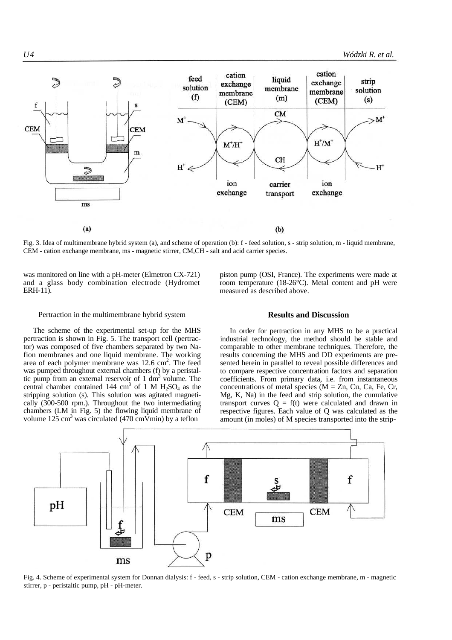

Fig. 3. Idea of multimembrane hybrid system (a), and scheme of operation (b): f - feed solution, s - strip solution, m - liquid membrane, CEM - cation exchange membrane, ms - magnetic stirrer, CM,CH - salt and acid carrier species.

was monitored on line with a pH-meter (Elmetron CX-721) and a glass body combination electrode (Hydromet ERH-11).

piston pump (OSI, France). The experiments were made at room temperature (18-26°C). Metal content and pH were measured as described above.

# Pertraction in the multimembrane hybrid system

The scheme of the experimental set-up for the MHS pertraction is shown in Fig. 5. The transport cell (pertractor) was composed of five chambers separated by two Nafion membranes and one liquid membrane. The working area of each polymer membrane was  $12.6 \text{ cm}^2$ . The feed was pumped throughout external chambers (f) by a peristaltic pump from an external reservoir of  $1 \text{ dm}^3$  volume. The central chamber contained 144 cm<sup>3</sup> of 1 M  $H_2SO_4$  as the stripping solution (s). This solution was agitated magnetically (300-500 rpm.). Throughout the two intermediating chambers (LM in Fig. 5) the flowing liquid membrane of volume 125 cm<sup>3</sup> was circulated (470 cm $\overrightarrow{V}$ min) by a teflon

# **Results and Discussion**

In order for pertraction in any MHS to be a practical industrial technology, the method should be stable and comparable to other membrane techniques. Therefore, the results concerning the MHS and DD experiments are presented herein in parallel to reveal possible differences and to compare respective concentration factors and separation coefficients. From primary data, i.e. from instantaneous concentrations of metal species ( $M = Zn$ , Cu, Ca, Fe, Cr, Mg, K, Na) in the feed and strip solution, the cumulative transport curves  $Q = f(t)$  were calculated and drawn in respective figures. Each value of Q was calculated as the amount (in moles) of M species transported into the strip-



Fig. 4. Scheme of experimental system for Donnan dialysis: f - feed, s - strip solution, CEM - cation exchange membrane, m - magnetic stirrer, p - peristaltic pump, pH - pH-meter.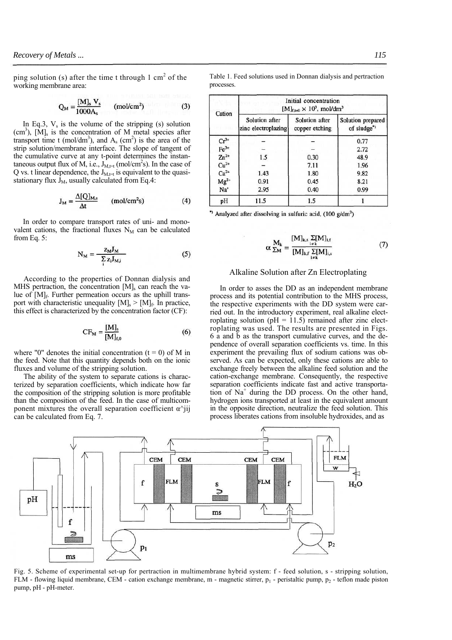ping solution (s) after the time t through  $1 \text{ cm}^2$  of the working membrane area:

$$
Q_M = \frac{[M]_s V_s}{1000 A_s} \qquad (mol/cm^2)
$$
 (3)

In Eq.3,  $V_s$  is the volume of the stripping (s) solution  $(cm<sup>3</sup>)$ ,  $[M]_s$  is the concentration of M metal species after transport time t (mol/dm<sup>3</sup>), and  $A_s$  (cm<sup>2</sup>) is the area of the strip solution/membrane interface. The slope of tangent of the cumulative curve at any t-point determines the instantaneous output flux of M, i.e.,  $J_{M,\tau}$  (mol/cm<sup>2</sup>s). In the case of Q vs. t linear dependence, the  $J_{M,t=1}$  is equivalent to the quasistationary flux  $J_M$ , usually calculated from Eq.4:

$$
J_M = \frac{\Delta [Q]_{M,s}}{\Delta t} \qquad (mol/cm^2 s)
$$
 (4)

In order to compare transport rates of uni- and monovalent cations, the fractional fluxes  $N_M$  can be calculated from Eq. 5:

$$
N_M = \frac{Z_M J_M}{\sum_{i} Z_i J_{M,i}}\tag{5}
$$

According to the properties of Donnan dialysis and MHS pertraction, the concentration  $[M]_s$  can reach the value of [M]<sub>f</sub>. Further permeation occurs as the uphill transport with characteristic unequality  $[M]_s$  >  $[M]_f$ . In practice, this effect is characterized by the concentration factor (CF):

$$
CF_M = \frac{[M]_s}{[M]_{f,0}}\tag{6}
$$

where "0" denotes the initial concentration  $(t = 0)$  of M in the feed. Note that this quantity depends both on the ionic fluxes and volume of the stripping solution.

The ability of the system to separate cations is characterized by separation coefficients, which indicate how far the composition of the stripping solution is more profitable than the composition of the feed. In the case of multicomponent mixtures the overall separation coefficient  $\alpha$ <sup> $\gamma$ </sup>iji can be calculated from Eq. 7.

Table 1. Feed solutions used in Donnan dialysis and pertraction processes.

| Cation                                                                                                        | Initial concentration<br>$[M]_{f,t=0} \times 10^3$ , mol/dm <sup>3</sup> |                                  |                                 |  |  |  |  |
|---------------------------------------------------------------------------------------------------------------|--------------------------------------------------------------------------|----------------------------------|---------------------------------|--|--|--|--|
|                                                                                                               | Solution after<br>zinc electroplazing                                    | Solution after<br>copper etching | Solution prepared<br>of sludge" |  |  |  |  |
|                                                                                                               |                                                                          |                                  | 0.77                            |  |  |  |  |
| $Cr^{3+}$<br>Fe <sup>3+</sup><br>Zn <sup>2+</sup><br>Cu <sup>2+</sup><br>Ca <sup>2+</sup><br>Mg <sup>2+</sup> |                                                                          |                                  | 2.72                            |  |  |  |  |
|                                                                                                               | 1.5                                                                      | 0.30                             | 48.9                            |  |  |  |  |
|                                                                                                               |                                                                          | 7.11                             | 1.96                            |  |  |  |  |
|                                                                                                               | 1.43                                                                     | 1.80                             | 9.82                            |  |  |  |  |
|                                                                                                               | 0.91                                                                     | 0.45                             | 8.21                            |  |  |  |  |
| $Na+$                                                                                                         | 2.95                                                                     | 0.40                             | 0.99                            |  |  |  |  |
| pH                                                                                                            | 11.5                                                                     | 1.5                              |                                 |  |  |  |  |

" Analyzed after dissolving in sulfuric acid, (100 g/dm<sup>3</sup>)

Ï

$$
\alpha \frac{\mathbf{M}_{k}}{\Sigma M} = \frac{[\mathbf{M}]_{k,s}}{[\mathbf{M}]_{k,f}} \frac{\Sigma[\mathbf{M}]_{i,f}}{\Sigma[k]} \tag{7}
$$

# Alkaline Solution after Zn Electroplating

In order to asses the DD as an independent membrane process and its potential contribution to the MHS process, the respective experiments with the DD system were carried out. In the introductory experiment, real alkaline electroplating solution ( $pH = 11.5$ ) remained after zinc electroplating was used. The results are presented in Figs. 6 a and b as the transport cumulative curves, and the dependence of overall separation coefficients vs. time. In this experiment the prevailing flux of sodium cations was observed. As can be expected, only these cations are able to exchange freely between the alkaline feed solution and the cation-exchange membrane. Consequently, the respective separation coefficients indicate fast and active transportation of Na+ during the DD process. On the other hand, hydrogen ions transported at least in the equivalent amount in the opposite direction, neutralize the feed solution. This process liberates cations from insoluble hydroxides, and as



Fig. 5. Scheme of experimental set-up for pertraction in multimembrane hybrid system: f - feed solution, s - stripping solution, FLM - flowing liquid membrane, CEM - cation exchange membrane, m - magnetic stirrer,  $p_1$  - peristaltic pump,  $p_2$  - teflon made piston pump, pH - pH-meter.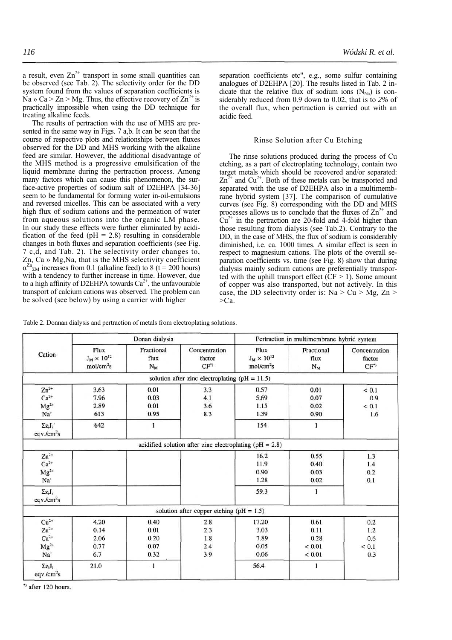a result, even  $Zn^{2+}$  transport in some small quantities can be observed (see Tab. 2). The selectivity order for the DD system found from the values of separation coefficients is Na » Ca > Zn > Mg. Thus, the effective recovery of  $\text{Zn}^2$  is practically impossible when using the DD technique for treating alkaline feeds.

The results of pertraction with the use of MHS are presented in the same way in Figs. 7 a,b. It can be seen that the course of respective plots and relationships between fluxes observed for the DD and MHS working with the alkaline feed are similar. However, the additional disadvantage of the MHS method is a progressive emulsification of the liquid membrane during the pertraction process. Among many factors which can cause this phenomenon, the surface-active properties of sodium salt of D2EHPA [34-36] seem to be fundamental for forming water in-oil-emulsions and reversed micelles. This can be associated with a very high flux of sodium cations and the permeation of water from aqueous solutions into the organic LM phase. In our study these effects were further eliminated by acidification of the feed ( $pH = 2.8$ ) resulting in considerable changes in both fluxes and separation coefficients (see Fig. 7 c,d, and Tab. 2). The selectivity order changes to, Zn, Ca » Mg,Na, that is the MHS selectivity coefficient  $\alpha^{Zn}$ <sub>ΣM</sub> increases from 0.1 (alkaline feed) to 8 (t = 200 hours) with a tendency to further increase in time. However, due to a high affinity of D2EHPA towards  $Ca^{2+}$ , the unfavourable transport of calcium cations was observed. The problem can be solved (see below) by using a carrier with higher

separation coefficients etc", e.g., some sulfur containing analogues of D2EHPA [20]. The results listed in Tab. 2 indicate that the relative flux of sodium ions  $(N_{N_a})$  is considerably reduced from 0.9 down to 0.02, that is to *2%* of the overall flux, when pertraction is carried out with an acidic feed.

## Rinse Solution after Cu Etching

The rinse solutions produced during the process of Cu etching, as a part of electroplating technology, contain two target metals which should be recovered and/or separated:  $Zn^{2+}$  and  $Cu^{2+}$ . Both of these metals can be transported and separated with the use of D2EHPA also in a multimembrane hybrid system [37]. The comparison of cumulative curves (see Fig. 8) corresponding with the DD and MHS processes allows us to conclude that the fluxes of  $\text{Zn}^{2+}$  and  $Cu^{2+}$  in the pertraction are 20-fold and 4-fold higher than those resulting from dialysis (see Tab.2). Contrary to the DD, in the case of MHS, the flux of sodium is considerably diminished, i.e. ca. 1000 times. A similar effect is seen in respect to magnesium cations. The plots of the overall separation coefficients vs. time (see Fig. 8) show that during dialysis mainly sodium cations are preferentially transported with the uphill transport effect  $(CF > 1)$ . Some amount of copper was also transported, but not actively. In this case, the DD selectivity order is:  $Na > Cu > Mg$ ,  $Zn >$  $>Ca$ .

Table 2. Donnan dialysis and pertraction of metals from electroplating solutions.

| Cation                                              | Donan dialysis                                        |                                      |                                                             | Pertraction in multimembrane hybrid system            |                                                    |                                   |  |
|-----------------------------------------------------|-------------------------------------------------------|--------------------------------------|-------------------------------------------------------------|-------------------------------------------------------|----------------------------------------------------|-----------------------------------|--|
|                                                     | Flux<br>$J_M \times 10^{12}$<br>mol/cm <sup>2</sup> s | Fractional<br>flux<br>$N_M$          | Concentration<br>factor<br>$CF^*$                           | Flux<br>$J_M \times 10^{12}$<br>mol/cm <sup>2</sup> s | Fractional<br>flux<br>$N_M$                        | Concentration<br>factor<br>$CF^*$ |  |
|                                                     |                                                       |                                      | solution after zinc electroplating ( $pH = 11.5$ )          |                                                       |                                                    |                                   |  |
| $Zn^{2+}$<br>$Ca2+$<br>$Mg^{2+}$<br>$Na+$           | 3.63<br>7.96<br>2.89<br>613                           | 0.01<br>0.03<br>0.01<br>0.95         | 3.3<br>4.1<br>3.6<br>8.3                                    | 0.57<br>5.69<br>1.15<br>1.39                          | 0.01<br>0.07<br>0.02<br>0.90                       | ${}_{0.1}$<br>0.9<br>< 0.1<br>1.6 |  |
| $\Sigma z_i J_i$<br>eqv./cm <sup>2</sup> s          | 642                                                   | 1                                    |                                                             | 154                                                   | 1                                                  |                                   |  |
|                                                     |                                                       |                                      | acidified solution after zinc electroplating ( $pH = 2.8$ ) |                                                       |                                                    |                                   |  |
| $Zn^{2+}$<br>$Ca2+$<br>$Mg^{2+}$<br>$Na+$           |                                                       |                                      |                                                             | 16.2<br>11.9<br>0.90<br>1.28                          | 0.55<br>0.40<br>0.03<br>0.02                       | 1.3<br>1.4<br>0.2<br>0.1          |  |
| $\Sigma z_i J_i$<br>eqv/cm <sup>2</sup> s           |                                                       |                                      |                                                             | 59.3                                                  | 1                                                  |                                   |  |
|                                                     |                                                       |                                      | solution after copper etching ( $pH = 1.5$ )                |                                                       |                                                    |                                   |  |
| $Cu2+$<br>$Zn^{2+}$<br>$Ca2+$<br>$Mg^{2+}$<br>$Na+$ | 4.20<br>0.14<br>2.06<br>0.77<br>6.7                   | 0.40<br>0.01<br>0.20<br>0.07<br>0.32 | 2.8<br>2.3<br>1.8<br>2.4<br>3.9                             | 17.20<br>3.03<br>7.89<br>0.05<br>0.06                 | 0.61<br>0.11<br>0.28<br>${}_{0.01}$<br>${}_{0.01}$ | 0.2<br>1.2<br>0.6<br>< 0.1<br>0.3 |  |
| $\Sigma z_i J_i$<br>eqv/cm <sup>2</sup> s           | 21.0                                                  | $-1$                                 |                                                             | 56.4                                                  | 1                                                  |                                   |  |

\*) after 120 hours.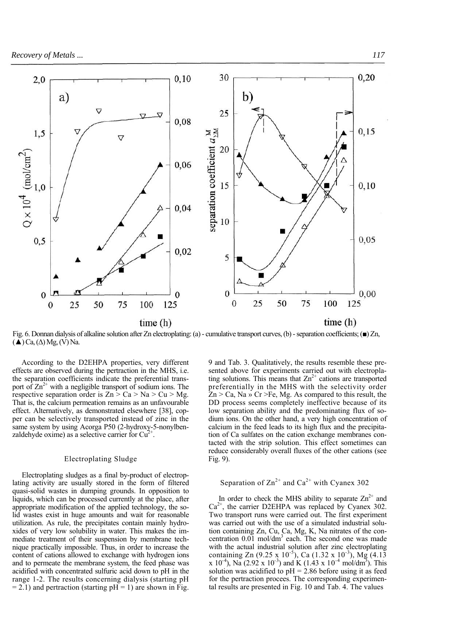

Fig. 6. Donnan dialysis of alkaline solution after Zn electroplating: (a) - cumulative transport curves, (b) - separation coefficients; (■) Zn,  $(\triangle)$  Ca,  $(\triangle)$  Mg,  $(V)$  Na.

According to the D2EHPA properties, very different effects are observed during the pertraction in the MHS, i.e. the separation coefficients indicate the preferential transport of  $\text{Zn}^{2+}$  with a negligible transport of sodium ions. The respective separation order is  $Zn > Ca > Na > Cu > Mg$ . That is, the calcium permeation remains as an unfavourable effect. Alternatively, as demonstrated elsewhere [38], copper can be selectively transported instead of zinc in the same system by using Acorga P50 (2-hydroxy-5-nonylbenzaldehyde oxime) as a selective carrier for  $Cu<sup>2</sup>$ .

## Electroplating Sludge

Electroplating sludges as a final by-product of electroplating activity are usually stored in the form of filtered quasi-solid wastes in dumping grounds. In opposition to liquids, which can be processed currently at the place, after appropriate modification of the applied technology, the solid wastes exist in huge amounts and wait for reasonable utilization. As rule, the precipitates contain mainly hydroxides of very low solubility in water. This makes the immediate treatment of their suspension by membrane technique practically impossible. Thus, in order to increase the content of cations allowed to exchange with hydrogen ions and to permeate the membrane system, the feed phase was acidified with concentrated sulfuric acid down to pH in the range 1-2. The results concerning dialysis (starting pH  $= 2.1$ ) and pertraction (starting pH  $= 1$ ) are shown in Fig.

9 and Tab. 3. Qualitatively, the results resemble these presented above for experiments carried out with electroplating solutions. This means that  $\text{Zn}^{2+}$  cations are transported preferentially in the MHS with the selectivity order  $Zn > Ca$ , Na » Cr >Fe, Mg. As compared to this result, the DD process seems completely ineffective because of its low separation ability and the predominating flux of sodium ions. On the other hand, a very high concentration of calcium in the feed leads to its high flux and the precipitation of Ca sulfates on the cation exchange membranes contacted with the strip solution. This effect sometimes can reduce considerably overall fluxes of the other cations (see Fig. 9).

Separation of  $\text{Zn}^{2+}$  and  $\text{Ca}^{2+}$  with Cyanex 302

In order to check the MHS ability to separate  $\text{Zn}^{2+}$  and  $Ca<sup>2+</sup>$ , the carrier D2EHPA was replaced by Cyanex 302. Two transport runs were carried out. The first experiment was carried out with the use of a simulated industrial solution containing Zn, Cu, Ca, Mg, K, Na nitrates of the concentration  $0.01$  mol/dm<sup>3</sup> each. The second one was made with the actual industrial solution after zinc electroplating containing Zn (9.25 x  $10^{-5}$ ), Ca (1.32 x  $10^{-3}$ ), Mg (4.13 x 10<sup>-4</sup>), Na (2.92 x 10<sup>-3</sup>) and K (1.43 x 10<sup>-4</sup> mol/dm<sup>3</sup>). This solution was acidified to  $pH = 2.86$  before using it as feed for the pertraction procees. The corresponding experimental results are presented in Fig. 10 and Tab. 4. The values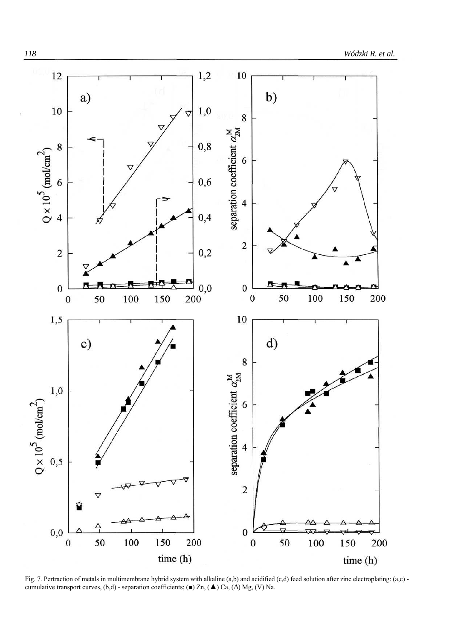

Fig. 7. Pertraction of metals in multimembrane hybrid system with alkaline (a,b) and acidified (c,d) feed solution after zinc electroplating: (a,c) cumulative transport curves,  $(b,d)$  - separation coefficients; (■) Zn, (▲) Ca, ( $\Delta$ ) Mg, (V) Na.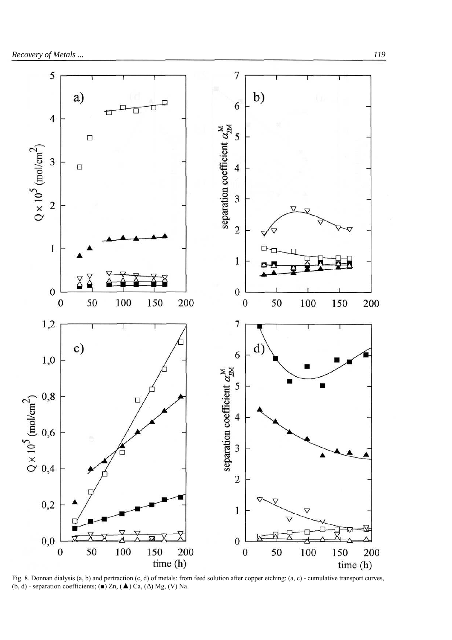

Fig. 8. Donnan dialysis (a, b) and pertraction (c, d) of metals: from feed solution after copper etching: (a, c) - cumulative transport curves, (b, d) - separation coefficients; (■) Zn, (▲) Ca, ( $\Delta$ ) Mg, (V) Na.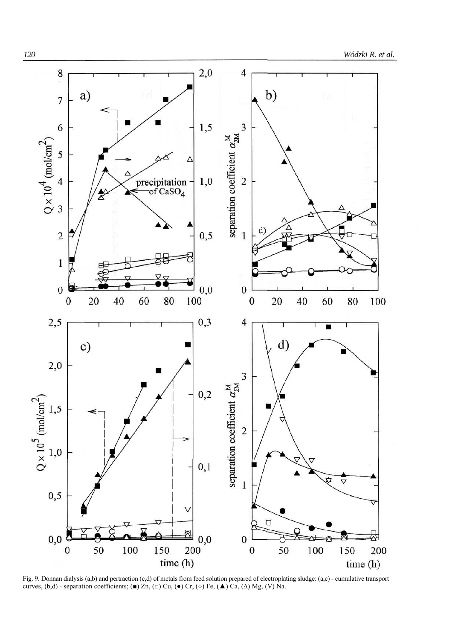

Fig. 9. Donnan dialysis (a,b) and pertraction (c,d) of metals from feed solution prepared of electroplating sludge: (a,c) - cumulative transport curves,  $(b,d)$  - separation coefficients; (■) Zn, (□) Cu, (●) Cr, (○) Fe, (▲) Ca, (△) Mg, (V) Na.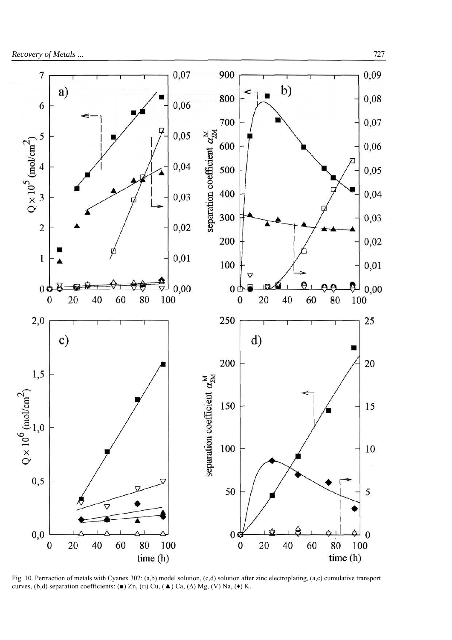

Fig. 10. Pertraction of metals with Cyanex 302: (a,b) model solution, (c,d) solution after zinc electroplating, (a,c) cumulative transport curves, (b,d) separation coefficients: (■) Zn, (□) Cu, (▲) Ca, ( $\Delta$ ) Mg, (V) Na, (◆) K.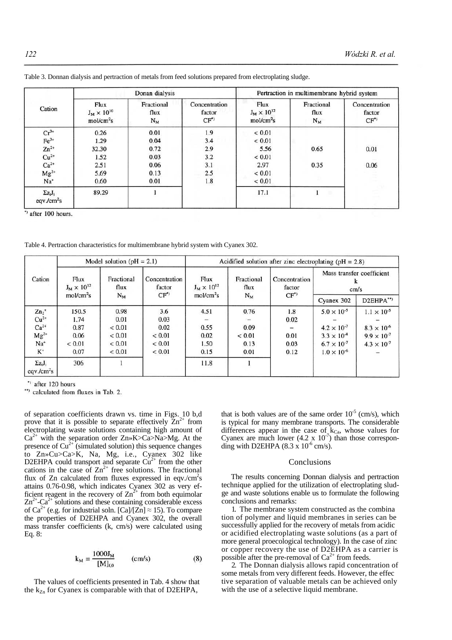| Cation                                    | Donan dialysis                                        |                             |                                          | Pertraction in multimembrane hybrid system            |                             |                                          |  |
|-------------------------------------------|-------------------------------------------------------|-----------------------------|------------------------------------------|-------------------------------------------------------|-----------------------------|------------------------------------------|--|
|                                           | Flux<br>$J_M \times 10^{10}$<br>mol/cm <sup>2</sup> s | Fractional<br>flux<br>$N_M$ | Concentration<br>factor<br>$CF^{\prime}$ | Flux<br>$J_M \times 10^{12}$<br>mol/cm <sup>2</sup> s | Fractional<br>flux<br>$N_M$ | Concentration<br>factor<br>$CF^{\prime}$ |  |
| $Cr^{3+}$                                 | 0.26                                                  | 0.01                        | 1.9                                      | ${}< 0.01$                                            |                             |                                          |  |
| $Fe3+$                                    | 1.29                                                  | 0.04                        | 3.4                                      | ${}< 0.01$                                            |                             |                                          |  |
| $Zn^{2+}$                                 | 32.30                                                 | 0.72                        | 2.9                                      | 5.56                                                  | 0.65                        | 0.01                                     |  |
| $Cu2+$                                    | 1.52                                                  | 0.03                        | 3.2                                      | ${}< 0.01$                                            |                             |                                          |  |
| $Ca2+$                                    | 2.51                                                  | 0.06                        | 3.1                                      | 2.97                                                  | 0.35                        | 0.06                                     |  |
| $Mg^{2*}$                                 | 5.69                                                  | 0.13                        | 2.5                                      | ${}< 0.01$                                            |                             |                                          |  |
| Na <sup>+</sup>                           | 0.60                                                  | 0.01                        | 1.8                                      | ${}< 0.01$                                            |                             |                                          |  |
| $\Sigma z_i J_i$<br>eqv/cm <sup>2</sup> s | 89.29                                                 |                             |                                          | 17.1                                                  | ٠                           |                                          |  |

Table 3. Donnan dialysis and pertraction of metals from feed solutions prepared from electroplating sludge.

 $"$  after 100 hours.

Table 4. Pertraction characteristics for multimembrane hybrid system with Cyanex 302.

| Cation                                    | Model solution ( $pH = 2.1$ )                         |                             |                                          | Acidified solution after zinc electroplating ( $pH = 2.8$ ) |                             |                                           |                                        |                      |  |
|-------------------------------------------|-------------------------------------------------------|-----------------------------|------------------------------------------|-------------------------------------------------------------|-----------------------------|-------------------------------------------|----------------------------------------|----------------------|--|
|                                           | Flux<br>$J_M \times 10^{12}$<br>mol/cm <sup>2</sup> s | Fractional<br>flux<br>$N_M$ | Concentration<br>factor<br>$CF^{\prime}$ | Flux<br>$J_M \times 10^{12}$<br>mol/cm <sup>2</sup> s       | Fractional<br>flux<br>$N_M$ | Concentration<br>factor<br>$CF^{\bullet}$ | Mass transfer coefficient<br>k<br>cm/s |                      |  |
|                                           |                                                       |                             |                                          |                                                             |                             |                                           | Cyanex 302                             | D2EHPA**)            |  |
| $Zn_2$ <sup>+</sup>                       | 150.5                                                 | 0.98                        | 3.6                                      | 4.51                                                        | 0.76                        | 1.8                                       | $5.0 \times 10^{-5}$                   | $1.1 \times 10^{-5}$ |  |
| $Cu2+$                                    | 1.74                                                  | 0.01                        | 0.03                                     |                                                             |                             | 0.02                                      |                                        |                      |  |
| $Ca2+$                                    | 0.87                                                  | ${}_{0.01}$                 | 0.02                                     | 0.55                                                        | 0.09                        | -                                         | $4.2 \times 10^{-7}$                   | $8.3 \times 10^{-6}$ |  |
| $Mg^{2*}$                                 | 0.06                                                  | ${}_{0.01}$                 | ${}_{0.01}$                              | 0.02                                                        | ${}< 0.01$                  | 0.01                                      | $3.3 \times 10^{-8}$                   | $9.9 \times 10^{-7}$ |  |
| $Na+$                                     | ${}_{0.01}$                                           | ${}_{0.01}$                 | ${}_{0.01}$                              | 1.50                                                        | 0.13                        | 0.03                                      | $6.7 \times 10^{-7}$                   | $4.3 \times 10^{-7}$ |  |
| $K^*$                                     | 0.07                                                  | ${}_{0.01}$                 | ${}< 0.01$                               | 0.15                                                        | 0.01                        | 0.12                                      | $1.0 \times 10^{-6}$                   |                      |  |
| $\Sigma z_i J_i$<br>eqv/cm <sup>2</sup> s | 306                                                   |                             |                                          | 11.8                                                        |                             |                                           |                                        |                      |  |

\*) after 120 hours

\*\*) calculated from fluxes in Tab. 2.

of separation coefficients drawn vs. time in Figs. 10 b,d prove that it is possible to separate effectively  $\text{Zn}^{2+}$  from electroplating waste solutions containing high amount of  $Ca^{2+}$  with the separation order  $Zn \rightarrow K > Ca > Na > Mg$ . At the presence of  $Cu<sup>2+</sup>$  (simulated solution) this sequence changes to Zn»Cu>Ca>K, Na, Mg, i.e., Cyanex 302 like D2EHPA could transport and separate  $Cu^{2+}$  from the other cations in the case of  $\text{Zn}^{2+}$  free solutions. The fractional flux of Zn calculated from fluxes expressed in eqv./ $\rm cm^2s$ attains 0.76-0.98, which indicates Cyanex 302 as very efficient reagent in the recovery of  $\text{Zn}^2$  from both equimolar  $\text{Zn}^{2+}\text{Ca}^{2+}$  solutions and these containing considerable excess of Ca<sup>2+</sup> (e.g. for industrial soln. [Ca]/[Zn]  $\approx$  15). To compare the properties of D2EHPA and Cyanex 302, the overall mass transfer coefficients (k, cm/s) were calculated using Eq. 8:

$$
k_{M} = \frac{1000 J_{M}}{[M]_{f,0}} \qquad (cm/s)
$$
 (8)

The values of coefficients presented in Tab. 4 show that the  $k_{Zn}$  for Cyanex is comparable with that of D2EHPA,

that is both values are of the same order  $10^{-5}$  (cm/s), which is typical for many membrane transports. The considerable differences appear in the case of  $k_{Ca}$ , whose values for Cyanex are much lower  $(4.2 \times 10^{-7})$  than those corresponding with D2EHPA  $(8.3 \times 10^{-6} \text{ cm/s})$ .

## Conclusions

The results concerning Donnan dialysis and pertraction technique applied for the utilization of electroplating sludge and waste solutions enable us to formulate the following conclusions and remarks:

1. The membrane system constructed as the combina tion of polymer and liquid membranes in series can be successfully applied for the recovery of metals from acidic or acidified electroplating waste solutions (as a part of more general proecological technology). In the case of zinc or copper recovery the use of D2EHPA as a carrier is possible after the pre-removal of  $Ca^{2+}$  from feeds.

2. The Donnan dialysis allows rapid concentration of some metals from very different feeds. However, the effec tive separation of valuable metals can be achieved only with the use of a selective liquid membrane.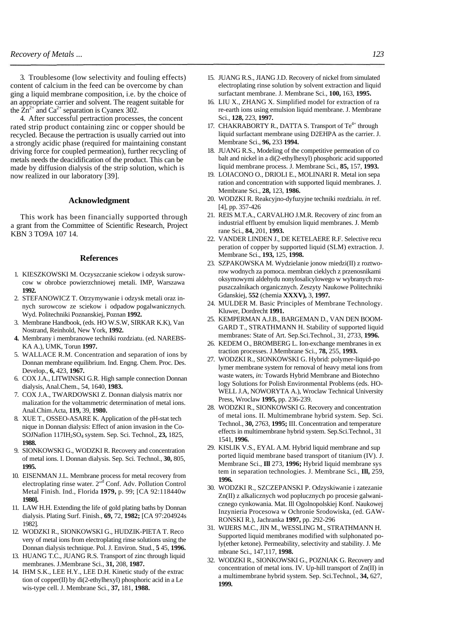3. Troublesome (low selectivity and fouling effects) content of calcium in the feed can be overcome by chan ging a liquid membrane composition, i.e. by the choice of an appropriate carrier and solvent. The reagent suitable for the  $\overline{Zn}^{2+}$  and  $\overline{Ca}^{2+}$  separation is Cyanex 302.

4. After successful pertraction processes, the concent rated strip product containing zinc or copper should be recycled. Because the pertraction is usually carried out into a strongly acidic phase (required for maintaining constant driving force for coupled permeation), further recycling of metals needs the deacidification of the product. This can be made by diffusion dialysis of the strip solution, which is now realized in our laboratory [39].

## **Acknowledgment**

This work has been financially supported through a grant from the Committee of Scientific Research, Project KBN 3 TO9A 107 14.

### **References**

- 1. KIESZKOWSKI M. Oczyszczanie sciekow i odzysk surowcow w obrobce powierzchniowej metali. IMP, Warszawa **1992.**
- 2. STEFANOWICZ T. Otrzymywanie i odzysk metali oraz innych surowcow ze sciekow i odpadow pogalwanicznych. Wyd. Politechniki Poznanskiej, Poznan **1992.**
- 3. Membrane Handbook, (eds. HO W.S.W, SIRKAR K.K), Van Nostrand, Reinhold, New York, **1992.**
- **4.** Membrany i membranowe techniki rozdziatu. (ed. NAREBS-KA A.), UMK, Torun **1997.**
- 5. WALLACE R.M. Concentration and separation of ions by Donnan membrane equilibrium. Ind. Engng. Chem. Proc. Des. Develop., **6,** 423, **1967.**
- 6. COX J.A., LITWINSKI G.R. High sample connection Donnan dialysis, Anal.Chem., 54, 1640, **1983.**
- 7. COX J.A., TWARDOWSKI Z. Donnan dialysis matrix nor malization for the voltammetric determination of metal ions. Anal.Chim.Acta, **119,** 39, **1980.**
- 8. XUE T., OSSEO-ASARE K. Application of the pH-stat tech nique in Donnan dialysis: Effect of anion invasion in the Co-SOJNafion 117IH2SO4 system. Sep. Sci. Technol., **23,** 1825, **1988.**
- 9. SIONKOWSKI G., WODZKI R. Recovery and concentration of metal ions. I. Donnan dialysis. Sep. Sci. Technol., **30,** 805, **1995.**
- 10. EISENMAN J.L. Membrane process for metal recovery from electroplating rinse water. 2<sup>"d</sup> Conf. Adv. Pollution Control Metal Finish. Ind., Florida **1979,** p. 99; [CA 92:118440w **1980].**
- 11. LAW H.H. Extending the life of gold plating baths by Donnan dialysis. Plating Surf. Finish., **69,** 72, **1982;** [CA 97:204924s 1982].
- 12. WODZKI R., SIONKOWSKI G., HUDZIK-PIETA T. Reco very of metal ions from electroplating rinse solutions using the Donnan dialysis technique. Pol. J. Environ. Stud., **5** 45, **1996.**
- 13. HUANG T.C., JUANG R.S. Transport of zinc through liquid membranes. J.Membrane Sci., **31,** 208, **1987.**
- 14. IHM S.K., LEE H.Y., LEE D.H. Kinetic study of the extrac tion of copper(II) by di(2-ethylhexyl) phosphoric acid in a Le wis-type cell. J. Membrane Sci., **37,** 181, **1988.**
- 15. JUANG R.S., JIANG J.D. Recovery of nickel from simulated electroplating rinse solution by solvent extraction and liquid surfactant membrane. J. Membrane Sci., **100,** 163, **1995.**
- 16. LIU X., ZHANG X. Simplified model for extraction of ra re-earth ions using emulsion liquid membrane. J. Membrane Sci., **128,** 223, **1997.**
- 17. CHAKRABORTY R., DATTA S. Transport of  $Te^{4+}$  through liquid surfactant membrane using D2EHPA as the carrier. J. Membrane Sci., **96,** 233 **1994.**
- 18. JUANG R.S., Modeling of the competitive permeation of co balt and nickel in a di(2-ethylhexyl) phosphoric acid supported liquid membrane process. J. Membrane Sci., **85,** 157, **1993.**
- 19. LOIACONO O., DRIOLI E., MOLINARI R. Metal ion sepa ration and concentration with supported liquid membranes. J. Membrane Sci., **28,** 123, **1986.**
- 20. WODZKI R. Reakcyjno-dyfuzyjne techniki rozdzialu. *in* ref. [4], pp. 357-426
- 21. REIS M.T.A., CARVALHO J.M.R. Recovery of zinc from an industrial effluent by emulsion liquid membranes. J. Memb rane Sci., **84,** 201, **1993.**
- 22. VANDER LINDEN J., DE KETELAERE R.F. Selective recu peration of copper by supported liquid (SLM) extraction. J. Membrane Sci., **193,** 125, **1998.**
- 23. SZPAKOWSKA M. Wydzielanie jonow miedzi(II) z roztworow wodnych za pomoca. membran cieklych z przenosnikami oksymowymi aldehydu nonylosalicylowego w wybranych rozpuszczalnikach organicznych. Zeszyty Naukowe Politechniki Gdanskiej, **552** (chemia **XXXV),** 3, **1997.**
- 24. MULDER M. Basic Principles of Membrane Technology. Kluwer, Dordrecht **1991.**
- 25. KEMPERMAN A.J.B., BARGEMAN D., VAN DEN BOOM-GARD T., STRATHMANN H. Stability of supported liquid membranes: State of Art. Sep.Sci.Technol., 31, 2733, **1996.**
- 26. KEDEM O., BROMBERG L. Ion-exchange membranes in ex traction processes. J.Membrane Sci., **78,** 255, **1993.**
- 27. WODZKI R., SIONKOWSKI G. Hybrid: polymer-liquid-po lymer membrane system for removal of heavy metal ions from waste waters, *in:* Towards Hybrid Membrane and Biotechno logy Solutions for Polish Environmental Problems (eds. HO-WELL J.A, NOWORYTA A.), Wroclaw Technical University Press, Wroclaw **1995,** pp. 236-239.
- 28. WODZKI R., SIONKOWSKI G. Recovery and concentration of metal ions. II. Multimembrane hybrid system. Sep. Sci. Technol., **30,** 2763, **1995;** III. Concentration and temperature effects in multimembrane hybrid system. Sep.Sci.Technol., 31 1541, **1996.**
- 29. KISLIK V.S., EYAL A.M. Hybrid liquid membrane and sup ported liquid membrane based transport of titanium (IV). J. Membrane Sci., **Ill** 273, **1996;** Hybrid liquid membrane sys tem in separation technologies. J. Membrane Sci., **Ill,** 259, **1996.**
- 30. WODZKI R., SZCZEPANSKI P. Odzyskiwanie i zatezanie Zn(II) z alkalicznych wod poplucznych po procesie galwanicznego cynkowania. Mat. Ill Ogolnopolskiej Konf. Naukowej Inzynieria Procesowa w Ochronie Srodowiska, (ed. GAW-RONSKI R.), Jachranka **1997,** pp. 292-296
- 31. WIJERS M.C., JIN M., WESSLING M., STRATHMANN H. Supported liquid membranes modified with sulphonated poly(ether ketone). Permeability, selectivity and stability. J. Me mbrane Sci., 147,117, **1998.**
- 32. WODZKI R., SIONKOWSKI G., POZNIAK G. Recovery and concentration of metal ions. IV. Up-hill transport of Zn(II) in a multimembrane hybrid system. Sep. Sci.Technol., **34,** 627, **1999.**